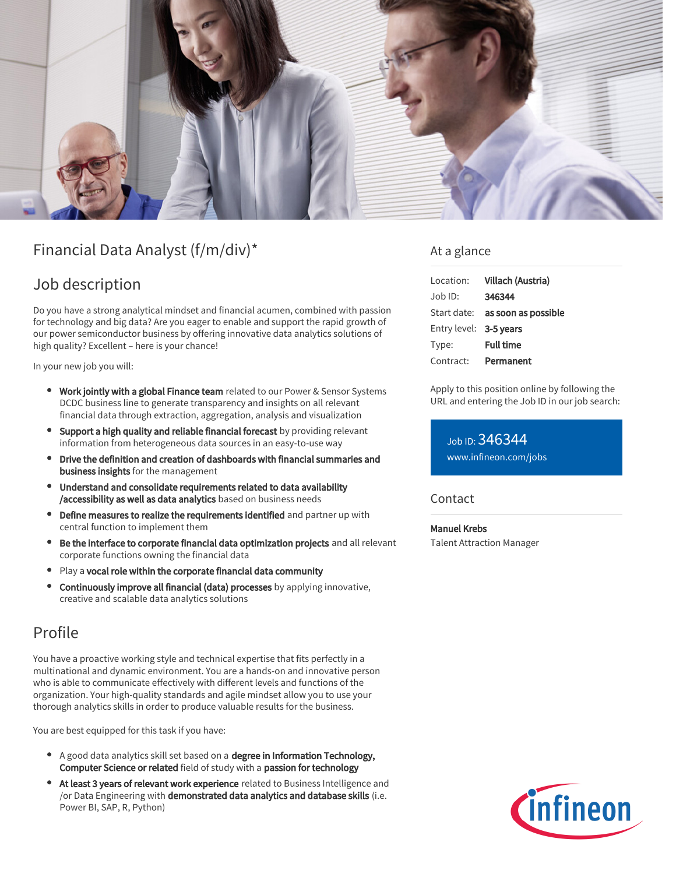

# Financial Data Analyst (f/m/div)\*

## Job description

Do you have a strong analytical mindset and financial acumen, combined with passion for technology and big data? Are you eager to enable and support the rapid growth of our power semiconductor business by offering innovative data analytics solutions of high quality? Excellent – here is your chance!

In your new job you will:

- **Work jointly with a global Finance team** related to our Power & Sensor Systems DCDC business line to generate transparency and insights on all relevant financial data through extraction, aggregation, analysis and visualization
- Support a high quality and reliable financial forecast by providing relevant information from heterogeneous data sources in an easy-to-use way
- Drive the definition and creation of dashboards with financial summaries and business insights for the management
- Understand and consolidate requirements related to data availability /accessibility as well as data analytics based on business needs
- Define measures to realize the requirements identified and partner up with central function to implement them
- Be the interface to corporate financial data optimization projects and all relevant corporate functions owning the financial data
- Play a vocal role within the corporate financial data community
- Continuously improve all financial (data) processes by applying innovative, creative and scalable data analytics solutions

# Profile

You have a proactive working style and technical expertise that fits perfectly in a multinational and dynamic environment. You are a hands-on and innovative person who is able to communicate effectively with different levels and functions of the organization. Your high-quality standards and agile mindset allow you to use your thorough analytics skills in order to produce valuable results for the business.

You are best equipped for this task if you have:

- A good data analytics skill set based on a degree in Information Technology, Computer Science or related field of study with a passion for technology
- At least 3 years of relevant work experience related to Business Intelligence and /or Data Engineering with demonstrated data analytics and database skills (i.e. Power BI, SAP, R, Python)

## At a glance

| Location:              | Villach (Austria)                      |
|------------------------|----------------------------------------|
| $Job$ ID:              | 346344                                 |
|                        | Start date: <b>as soon as possible</b> |
| Entry level: 3-5 years |                                        |
| Type:                  | <b>Full time</b>                       |
| Contract:              | Permanent                              |

Apply to this position online by following the URL and entering the Job ID in our job search:

Job ID: 346344 [www.infineon.com/jobs](https://www.infineon.com/jobs)

## **Contact**

Manuel Krebs Talent Attraction Manager

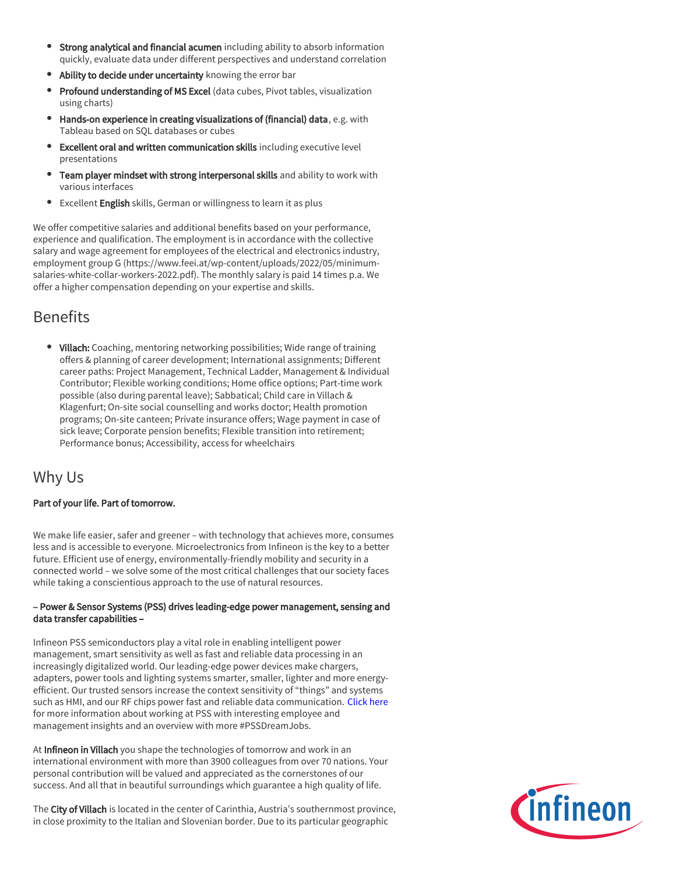- Strong analytical and financial acumen including ability to absorb information quickly, evaluate data under different perspectives and understand correlation
- Ability to decide under uncertainty knowing the error bar
- **Profound understanding of MS Excel** (data cubes, Pivot tables, visualization using charts)
- Hands-on experience in creating visualizations of (financial) data, e.g. with Tableau based on SQL databases or cubes
- Excellent oral and written communication skills including executive level presentations
- Team player mindset with strong interpersonal skills and ability to work with various interfaces
- **Excellent English** skills, German or willingness to learn it as plus

We offer competitive salaries and additional benefits based on your performance, experience and qualification. The employment is in accordance with the collective salary and wage agreement for employees of the electrical and electronics industry, employment group G (https://www.feei.at/wp-content/uploads/2022/05/minimumsalaries-white-collar-workers-2022.pdf). The monthly salary is paid 14 times p.a. We offer a higher compensation depending on your expertise and skills.

# Benefits

• Villach: Coaching, mentoring networking possibilities; Wide range of training offers & planning of career development; International assignments; Different career paths: Project Management, Technical Ladder, Management & Individual Contributor; Flexible working conditions; Home office options; Part-time work possible (also during parental leave); Sabbatical; Child care in Villach & Klagenfurt; On-site social counselling and works doctor; Health promotion programs; On-site canteen; Private insurance offers; Wage payment in case of sick leave; Corporate pension benefits; Flexible transition into retirement; Performance bonus; Accessibility, access for wheelchairs

# Why Us

### Part of your life. Part of tomorrow.

We make life easier, safer and greener – with technology that achieves more, consumes less and is accessible to everyone. Microelectronics from Infineon is the key to a better future. Efficient use of energy, environmentally-friendly mobility and security in a connected world – we solve some of the most critical challenges that our society faces while taking a conscientious approach to the use of natural resources.

#### – Power & Sensor Systems (PSS) drives leading-edge power management, sensing and data transfer capabilities –

Infineon PSS semiconductors play a vital role in enabling intelligent power management, smart sensitivity as well as fast and reliable data processing in an increasingly digitalized world. Our leading-edge power devices make chargers, adapters, power tools and lighting systems smarter, smaller, lighter and more energyefficient. Our trusted sensors increase the context sensitivity of "things" and systems such as HMI, and our RF chips power fast and reliable data communication. [Click here](https://www.infineon.com/cms/en/careers/working-at-infineon/PSSDreamJob/) for more information about working at PSS with interesting employee and management insights and an overview with more #PSSDreamJobs.

At Infineon in Villach you shape the technologies of tomorrow and work in an international environment with more than 3900 colleagues from over 70 nations. Your personal contribution will be valued and appreciated as the cornerstones of our success. And all that in beautiful surroundings which guarantee a high quality of life.

The City of Villach is located in the center of Carinthia, Austria's southernmost province, in close proximity to the Italian and Slovenian border. Due to its particular geographic